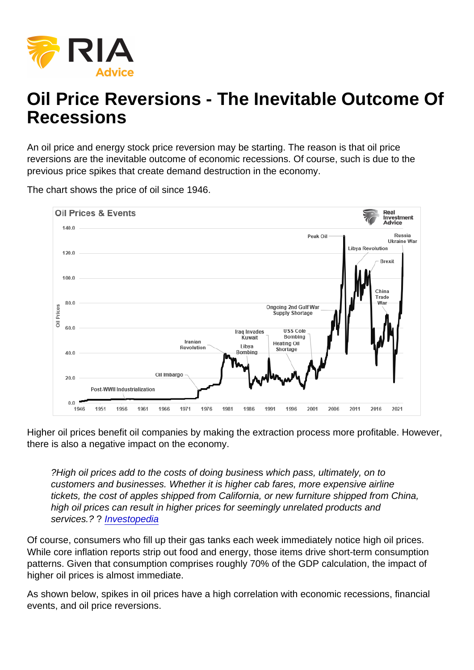## Oil Price Reversions - The Inevitable Outcome Of **Recessions**

An oil price and energy stock price reversion may be starting. The reason is that oil price reversions are the inevitable outcome of economic recessions. Of course, such is due to the previous price spikes that create demand destruction in the economy.

The chart shows the price of oil since 1946.

Higher oil prices benefit oil companies by making the extraction process more profitable. However, there is also a negative impact on the economy.

?High oil prices add to the costs of doing business which pass, ultimately, on to customers and businesses. Whether it is higher cab fares, more expensive airline tickets, the cost of apples shipped from California, or new furniture shipped from China, high oil prices can result in higher prices for seemingly unrelated products and services.? ? [Investopedia](http://www.investopedia.com)

Of course, consumers who fill up their gas tanks each week immediately notice high oil prices. While core inflation reports strip out food and energy, those items drive short-term consumption patterns. Given that consumption comprises roughly 70% of the GDP calculation, the impact of higher oil prices is almost immediate.

As shown below, spikes in oil prices have a high correlation with economic recessions, financial events, and oil price reversions.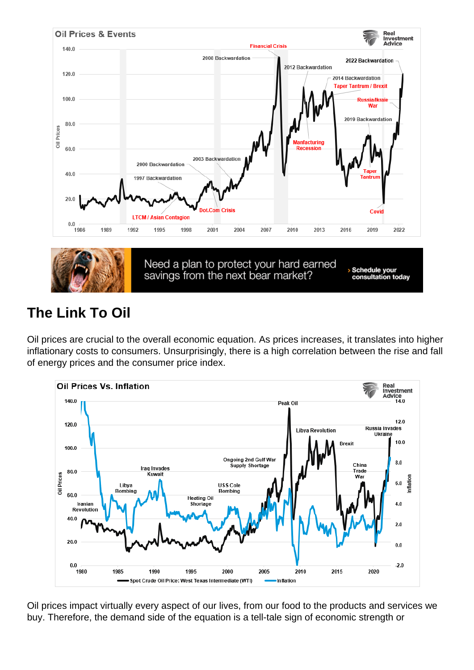## The Link To Oil

Oil prices are crucial to the overall economic equation. As prices increases, it translates into higher inflationary costs to consumers. Unsurprisingly, there is a high correlation between the rise and fall of energy prices and the consumer price index.

Oil prices impact virtually every aspect of our lives, from our food to the products and services we buy. Therefore, the demand side of the equation is a tell-tale sign of economic strength or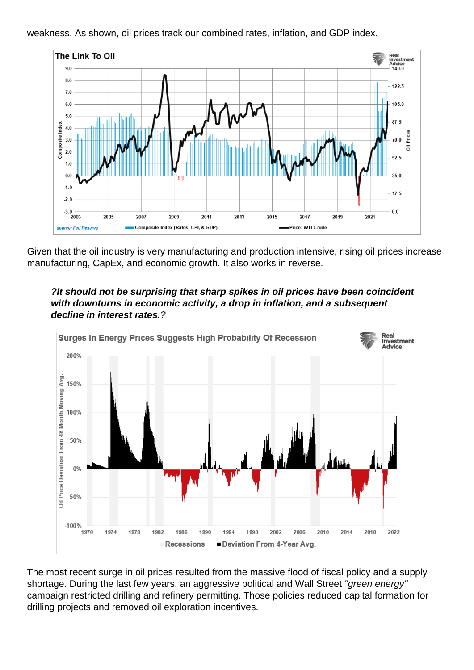weakness. As shown, oil prices track our combined rates, inflation, and GDP index.

Given that the oil industry is very manufacturing and production intensive, rising oil prices increase manufacturing, CapEx, and economic growth. It also works in reverse.

?It should not be surprising that sharp spikes in oil prices have been coincident with downturns in economic activity, a drop in inflation, and a subsequent decline in interest rates. ?

The most recent surge in oil prices resulted from the massive flood of fiscal policy and a supply shortage. During the last few years, an aggressive political and Wall Street "green energy" campaign restricted drilling and refinery permitting. Those policies reduced capital formation for drilling projects and removed oil exploration incentives.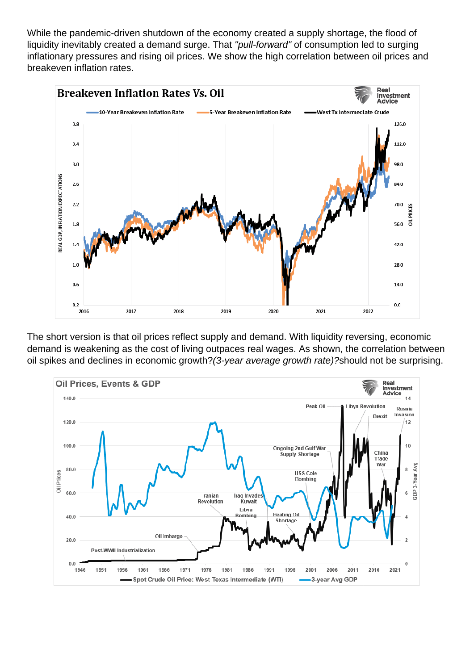While the pandemic-driven shutdown of the economy created a supply shortage, the flood of liquidity inevitably created a demand surge. That "pull-forward" of consumption led to surging inflationary pressures and rising oil prices. We show the high correlation between oil prices and breakeven inflation rates.

The short version is that oil prices reflect supply and demand. With liquidity reversing, economic demand is weakening as the cost of living outpaces real wages. As shown, the correlation between oil spikes and declines in economic growth?(3-year average growth rate)?should not be surprising.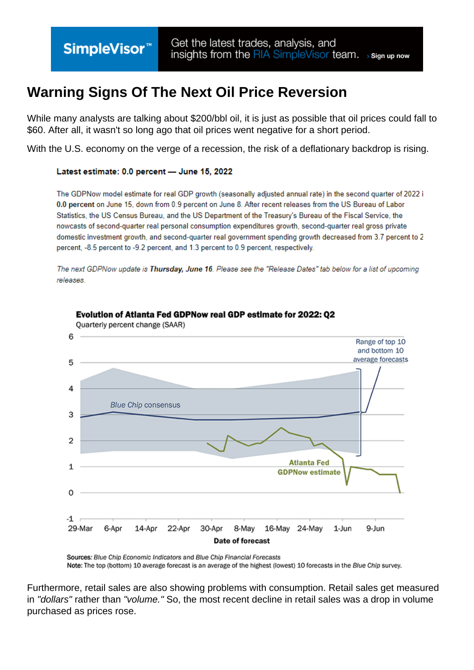## Warning Signs Of The Next Oil Price Reversion

While many analysts are talking about \$200/bbl oil, it is just as possible that oil prices could fall to \$60. After all, it wasn't so long ago that oil prices went negative for a short period.

With the U.S. economy on the verge of a recession, the risk of a deflationary backdrop is rising.

Furthermore, retail sales are also showing problems with consumption. Retail sales get measured in "dollars" rather than "volume." So, the most recent decline in retail sales was a drop in volume purchased as prices rose.